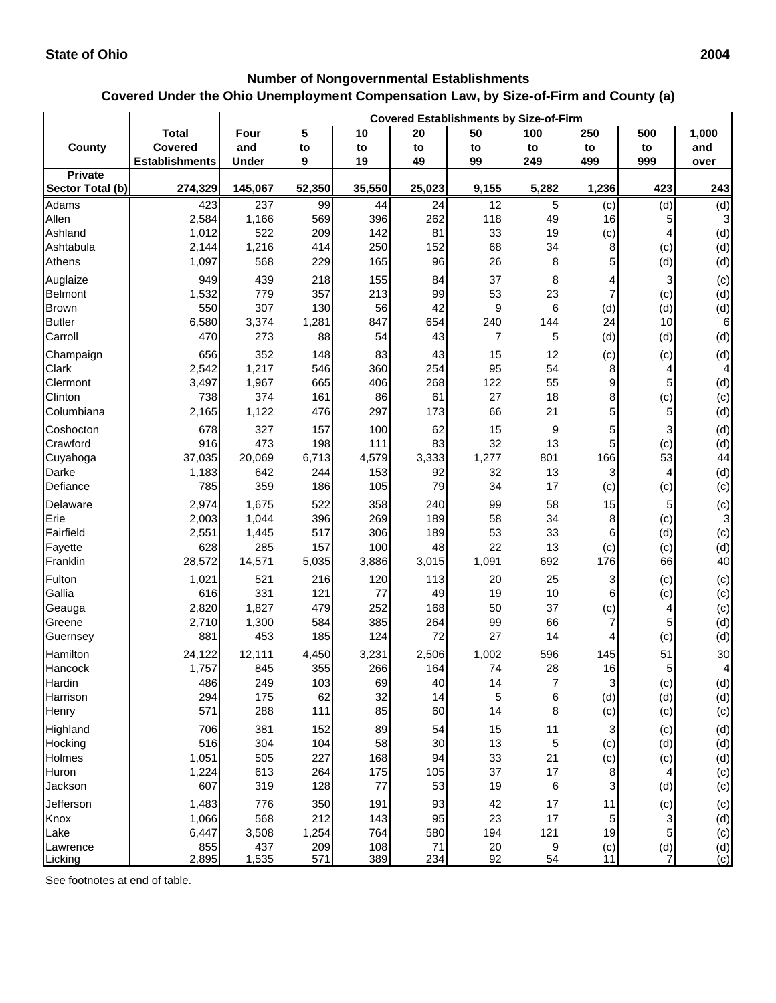## **Number of Nongovernmental Establishments Covered Under the Ohio Unemployment Compensation Law, by Size-of-Firm and County (a)**

|                             |                       | <b>Covered Establishments by Size-of-Firm</b> |            |            |           |           |          |                                                        |                                                                                                                                                        |                                                         |
|-----------------------------|-----------------------|-----------------------------------------------|------------|------------|-----------|-----------|----------|--------------------------------------------------------|--------------------------------------------------------------------------------------------------------------------------------------------------------|---------------------------------------------------------|
|                             | <b>Total</b>          | Four                                          | 5          | 10         | 20        | 50        | 100      | 250                                                    | 500                                                                                                                                                    | 1,000                                                   |
| <b>County</b>               | <b>Covered</b>        | and                                           | to         | to         | to        | to        | to       | to                                                     | to                                                                                                                                                     | and                                                     |
|                             | <b>Establishments</b> | <b>Under</b>                                  | 9          | 19         | 49        | 99        | 249      | 499                                                    | 999                                                                                                                                                    | over                                                    |
| Private<br>Sector Total (b) | 274,329               | 145,067                                       | 52,350     | 35,550     | 25,023    | 9,155     | 5,282    | 1,236                                                  | 423                                                                                                                                                    | 243                                                     |
|                             |                       |                                               |            |            |           |           |          |                                                        |                                                                                                                                                        |                                                         |
| Adams<br>Allen              | 423<br>2,584          | 237<br>1,166                                  | 99<br>569  | 44<br>396  | 24<br>262 | 12<br>118 | 5<br>49  | (c)<br>16                                              | (d)<br>5                                                                                                                                               | (d)<br>$\ensuremath{\mathsf{3}}$                        |
| Ashland                     | 1,012                 | 522                                           | 209        | 142        | 81        | 33        | 19       | (c)                                                    |                                                                                                                                                        | (d)                                                     |
| Ashtabula                   | 2,144                 | 1,216                                         | 414        | 250        | 152       | 68        | 34       | 8                                                      | (c)                                                                                                                                                    | (d)                                                     |
| Athens                      | 1,097                 | 568                                           | 229        | 165        | 96        | 26        | 8        | 5                                                      | (d)                                                                                                                                                    | (d)                                                     |
| Auglaize                    | 949                   | 439                                           | 218        | 155        | 84        | 37        | 8        | 4                                                      | 3                                                                                                                                                      | (c)                                                     |
| Belmont                     | 1,532                 | 779                                           | 357        | 213        | 99        | 53        | 23       |                                                        | (c)                                                                                                                                                    | (d)                                                     |
| <b>Brown</b>                | 550                   | 307                                           | 130        | 56         | 42        | 9         | 6        | (d)                                                    | (d)                                                                                                                                                    | (d)                                                     |
| <b>Butler</b>               | 6,580                 | 3,374                                         | 1,281      | 847        | 654       | 240       | 144      | 24                                                     | 10                                                                                                                                                     | 6                                                       |
| Carroll                     | 470                   | 273                                           | 88         | 54         | 43        | 7         | 5        | (d)                                                    | (d)                                                                                                                                                    | (d)                                                     |
| Champaign                   | 656                   | 352                                           | 148        | 83         | 43        | 15        | 12       | (c)                                                    | (c)                                                                                                                                                    | (d)                                                     |
| Clark                       | 2,542                 | 1,217                                         | 546        | 360        | 254       | 95        | 54       | 8                                                      | 4                                                                                                                                                      | 4                                                       |
| Clermont                    | 3,497                 | 1,967                                         | 665        | 406        | 268       | 122       | 55       | 9                                                      | 5                                                                                                                                                      | (d)                                                     |
| Clinton                     | 738                   | 374                                           | 161        | 86         | 61        | 27        | 18       | 8                                                      | (c)                                                                                                                                                    | (c)                                                     |
| Columbiana                  | 2,165                 | 1,122                                         | 476        | 297        | 173       | 66        | 21       | 5                                                      | 5                                                                                                                                                      | (d)                                                     |
| Coshocton                   | 678                   | 327                                           | 157        | 100        | 62        | 15        | 9        | 5                                                      | 3                                                                                                                                                      | (d)                                                     |
| Crawford                    | 916                   | 473                                           | 198        | 111        | 83        | 32        | 13       | 5                                                      | (c)                                                                                                                                                    | (d)                                                     |
| Cuyahoga                    | 37,035                | 20,069                                        | 6,713      | 4,579      | 3,333     | 1,277     | 801      | 166                                                    | 53                                                                                                                                                     | 44                                                      |
| Darke                       | 1,183                 | 642                                           | 244        | 153        | 92        | 32        | 13       | 3                                                      | 4                                                                                                                                                      | (d)                                                     |
| Defiance                    | 785                   | 359                                           | 186        | 105        | 79        | 34        | 17       | (c)                                                    | (c)                                                                                                                                                    | (c)                                                     |
| Delaware                    | 2,974                 | 1,675                                         | 522        | 358        | 240       | 99        | 58       | 15                                                     | 5                                                                                                                                                      | (c)                                                     |
| Erie                        | 2,003                 | 1,044                                         | 396        | 269        | 189       | 58        | 34       | 8                                                      | (c)                                                                                                                                                    | 3                                                       |
| Fairfield                   | 2,551                 | 1,445                                         | 517        | 306        | 189       | 53        | 33       | 6                                                      | (d)                                                                                                                                                    | (c)                                                     |
| Fayette                     | 628                   | 285                                           | 157        | 100        | 48        | 22        | 13       | (c)                                                    | (c)                                                                                                                                                    | (d)                                                     |
| Franklin                    | 28,572                | 14,571                                        | 5,035      | 3,886      | 3,015     | 1,091     | 692      | 176                                                    | 66                                                                                                                                                     | 40                                                      |
| Fulton                      | 1,021                 | 521                                           | 216        | 120        | 113       | 20        | 25       | 3                                                      | (c)                                                                                                                                                    | (c)                                                     |
| Gallia                      | 616                   | 331                                           | 121        | 77         | 49        | 19        | 10       | 6                                                      | (c)                                                                                                                                                    | (c)                                                     |
| Geauga                      | 2,820                 | 1,827                                         | 479        | 252        | 168       | 50        | 37       | (c)                                                    | 4                                                                                                                                                      | (c)                                                     |
| Greene                      | 2,710                 | 1,300                                         | 584        | 385        | 264       | 99        | 66       |                                                        | 5                                                                                                                                                      | (d)                                                     |
| Guernsey                    | 881                   | 453                                           | 185        | 124        | 72        | 27        | 14       | 4                                                      | (c)                                                                                                                                                    | (d)                                                     |
| Hamilton                    | 24,122                | 12,111                                        | 4,450      | 3,231      | 2,506     | 1,002     | 596      | 145                                                    | 51                                                                                                                                                     | 30                                                      |
| Hancock                     | 1,757                 | 845                                           | 355        | 266        | 164       | 74        | 28       | 16                                                     | 5                                                                                                                                                      | $\vert 4 \vert$                                         |
| Hardin                      | 486                   | 249                                           | 103        | 69         | 40        | 14        | 7        | 3                                                      | (c)                                                                                                                                                    | (d)                                                     |
| Harrison                    | 294<br>571            | 175<br>288                                    | 62<br>111  | 32<br>85   | 14<br>60  | 5<br>14   | 6        | (d)                                                    | (d)                                                                                                                                                    | (d)                                                     |
| Henry                       |                       |                                               |            |            |           |           | 8        | (c)                                                    | (c)                                                                                                                                                    | (c)                                                     |
| Highland                    | 706                   | 381                                           | 152        | 89         | 54        | 15        | 11       | 3                                                      | (c)                                                                                                                                                    | (d)                                                     |
| Hocking<br>Holmes           | 516<br>1,051          | 304<br>505                                    | 104<br>227 | 58<br>168  | 30<br>94  | 13<br>33  | 5<br>21  | (c)                                                    | (d)                                                                                                                                                    | (d)                                                     |
| Huron                       | 1,224                 | 613                                           | 264        | 175        | 105       | 37        | 17       | (c)<br>8                                               | (c)<br>4                                                                                                                                               | (d)                                                     |
| Jackson                     | 607                   | 319                                           | 128        | 77         | 53        | 19        | 6        | 3                                                      | (d)                                                                                                                                                    | (c)<br>(c)                                              |
|                             |                       |                                               |            |            |           |           |          |                                                        |                                                                                                                                                        |                                                         |
| Jefferson                   | 1,483<br>1,066        | 776<br>568                                    | 350<br>212 | 191<br>143 | 93<br>95  | 42<br>23  | 17<br>17 | 11<br>5                                                | (c)                                                                                                                                                    | (c)                                                     |
| Knox<br>Lake                | 6,447                 | 3,508                                         | 1,254      | 764        | 580       | 194       | 121      | 19                                                     | 3<br>5                                                                                                                                                 | (d)<br>(c)                                              |
| Lawrence                    | 855                   | 437                                           | 209        | 108        | 71        | 20        | 9        |                                                        |                                                                                                                                                        |                                                         |
| Licking                     | 2,895                 | 1,535                                         | 571        | 389        | 234       | 92        | 54       | $\begin{array}{c} \text{(c)} \\ \text{11} \end{array}$ | $\begin{matrix} \begin{array}{c} \begin{array}{c} \end{array}\\ \begin{array}{c} \end{array}\\ \begin{array}{c} \end{array} \end{matrix} \end{matrix}$ | $\begin{array}{c} \text{(d)} \\ \text{(c)} \end{array}$ |

See footnotes at end of table.